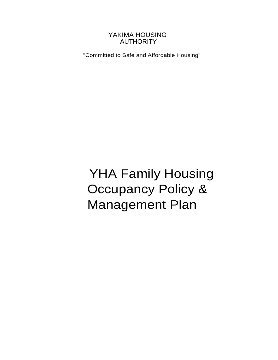### YAKIMA HOUSING AUTHORITY

"Committed to Safe and Affordable Housing"

# YHA Family Housing Occupancy Policy & Management Plan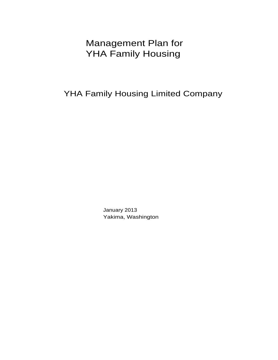# Management Plan for YHA Family Housing

YHA Family Housing Limited Company

January 2013 Yakima, Washington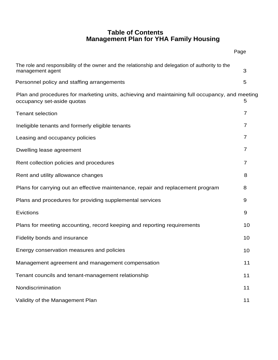## **Table of Contents Management Plan for YHA Family Housing**

|                                                                                                                              | Page           |
|------------------------------------------------------------------------------------------------------------------------------|----------------|
| The role and responsibility of the owner and the relationship and delegation of authority to the<br>management agent         | 3              |
| Personnel policy and staffing arrangements                                                                                   | 5              |
| Plan and procedures for marketing units, achieving and maintaining full occupancy, and meeting<br>occupancy set-aside quotas | 5              |
| <b>Tenant selection</b>                                                                                                      | 7              |
| Ineligible tenants and formerly eligible tenants                                                                             | $\overline{7}$ |
| Leasing and occupancy policies                                                                                               | 7              |
| Dwelling lease agreement                                                                                                     | $\overline{7}$ |
| Rent collection policies and procedures                                                                                      | 7              |
| Rent and utility allowance changes                                                                                           | 8              |
| Plans for carrying out an effective maintenance, repair and replacement program                                              | 8              |
| Plans and procedures for providing supplemental services                                                                     | 9              |
| Evictions                                                                                                                    | 9              |
| Plans for meeting accounting, record keeping and reporting requirements                                                      | 10             |
| Fidelity bonds and insurance                                                                                                 | 10             |
| Energy conservation measures and policies                                                                                    | 10             |
| Management agreement and management compensation                                                                             | 11             |
| Tenant councils and tenant-management relationship                                                                           | 11             |
| Nondiscrimination                                                                                                            | 11             |
| Validity of the Management Plan                                                                                              | 11             |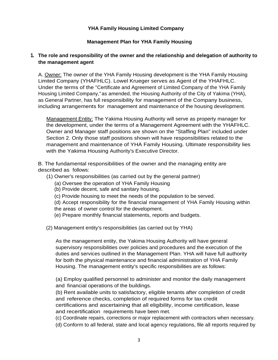#### **YHA Family Housing Limited Company**

#### **Management Plan for YHA Family Housing**

#### **1. The role and responsibility of the owner and the relationship and delegation of authority to the management agent**

A. Owner: The owner of the YHA Family Housing development is the YHA Family Housing Limited Company (YHAFHLC). Lowel Krueger serves as Agent of the YHAFHLC. Under the terms of the "Certificate and Agreement of Limited Company of the YHA Family Housing Limited Company,"as amended, the Housing Authority of the City of Yakima (YHA), as General Partner, has full responsibility for management of the Company business, including arrangements for management and maintenance of the housing development.

Management Entity: The Yakima Housing Authority will serve as property manager for the development, under the terms of a Management Agreement with the YHAFHLC. Owner and Manager staff positions are shown on the "Staffing Plan" included under Section 2. Only those staff positions shown will have responsibilities related to the management and maintenance of YHA Family Housing. Ultimate responsibility lies with the Yakima Housing Authority's Executive Director.

B. The fundamental responsibilities of the owner and the managing entity are described as follows:

- (1) Owner's responsibilities (as carried out by the general partner)
	- (a) Oversee the operation of YHA Family Housing
	- (b) Provide decent, safe and sanitary housing.
	- (c) Provide housing to meet the needs of the population to be served.
	- (d) Accept responsibility for the financial management of YHA Family Housing within
	- the areas of owner control for the development.
	- (e) Prepare monthly financial statements, reports and budgets.

(2) Management entity's responsibilities (as carried out by YHA)

As the management entity, the Yakima Housing Authority will have general supervisory responsibilities over policies and procedures and the execution of the duties and services outlined in the Management Plan. YHA will have full authority for both the physical maintenance and financial administration of YHA Family Housing. The management entity's specific responsibilities are as follows:

(a) Employ qualified personnel to administer and monitor the daily management and financial operations of the buildings.

(b) Rent available units to satisfactory, eligible tenants after completion of credit and reference checks, completion of required forms for tax credit

certifications and ascertaining that all eligibility, income certification, lease and recertification requirements have been met.

(c) Coordinate repairs, corrections or major replacement with contractors when necessary.

(d) Conform to all federal, state and local agency regulations, file all reports required by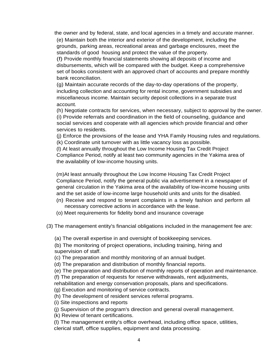the owner and by federal, state, and local agencies in a timely and accurate manner.

(e) Maintain both the interior and exterior of the development, including the grounds, parking areas, recreational areas and garbage enclosures, meet the standards of good housing and protect the value of the property.

(f) Provide monthly financial statements showing all deposits of income and disbursements, which will be compared with the budget. Keep a comprehensive set of books consistent with an approved chart of accounts and prepare monthly bank reconciliation.

(g) Maintain accurate records of the day-to-day operations of the property, including collection and accounting for rental income, government subsidies and miscellaneous income. Maintain security deposit collections in a separate trust account.

(h) Negotiate contracts for services, when necessary, subject to approval by the owner. (i) Provide referrals and coordination in the field of counseling, guidance and social services and cooperate with all agencies which provide financial and other services to residents.

(j) Enforce the provisions of the lease and YHA Family Housing rules and regulations. (k) Coordinate unit turnover with as little vacancy loss as possible.

(l) At least annually throughout the Low Income Housing Tax Credit Project Compliance Period, notify at least two community agencies in the Yakima area of the availability of low-income housing units.

(m)At least annually throughout the Low Income Housing Tax Credit Project Compliance Period, notify the general public via advertisement in a newspaper of general circulation in the Yakima area of the availability of low-income housing units and the set aside of low-income large household units and units for the disabled.

- (n) Receive and respond to tenant complaints in a timely fashion and perform all necessary corrective actions in accordance with the lease.
- (o) Meet requirements for fidelity bond and insurance coverage
- (3) The management entity's financial obligations included in the management fee are:

(a) The overall expertise in and oversight of bookkeeping services.

(b) The monitoring of project operations, including training, hiring and supervision of staff.

(c) The preparation and monthly monitoring of an annual budget.

(d) The preparation and distribution of monthly financial reports.

(e) The preparation and distribution of monthly reports of operation and maintenance.

(f) The preparation of requests for reserve withdrawals, rent adjustments,

rehabilitation and energy conservation proposals, plans and specifications.

(g) Execution and monitoring of service contracts.

(h) The development of resident services referral programs.

(i) Site inspections and reports

(j) Supervision of the program's direction and general overall management.

(k) Review of tenant certifications.

(l) The management entity's office overhead, including office space, utilities, clerical staff, office supplies, equipment and data processing.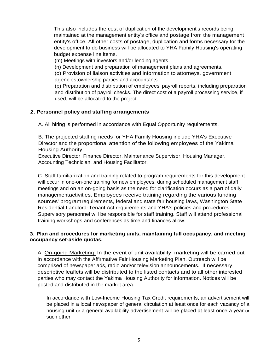This also includes the cost of duplication of the development's records being maintained at the management entity's office and postage from the management entity's office. All other costs of postage, duplication and forms necessary for the development to do business will be allocated to YHA Family Housing's operating budget expense line items.

(m) Meetings with investors and/or lending agents

(n) Development and preparation of management plans and agreements.

(o) Provision of liaison activities and information to attorneys, government agencies,ownership parties and accountants.

(p) Preparation and distribution of employees' payroll reports, including preparation and distribution of payroll checks. The direct cost of a payroll processing service, if used, will be allocated to the project.

#### **2. Personnel policy and staffing arrangements**

A. All hiring is performed in accordance with Equal Opportunity requirements.

B. The projected staffing needs for YHA Family Housing include YHA's Executive Director and the proportional attention of the following employees of the Yakima Housing Authority:

Executive Director, Finance Director, Maintenance Supervisor, Housing Manager, Accounting Technician, and Housing Facilitator.

C. Staff familiarization and training related to program requirements for this development will occur in one-on-one training for new employees, during scheduled management staff meetings and on an on-going basis as the need for clarification occurs as a part of daily managementactivities. Employees receive training regarding the various funding sources' programrequirements, federal and state fair housing laws, Washington State Residential Landlord-Tenant Act requirements and YHA's policies and procedures. Supervisory personnel will be responsible for staff training. Staff will attend professional training workshops and conferences as time and finances allow.

#### **3. Plan and procedures for marketing units, maintaining full occupancy, and meeting occupancy set-aside quotas.**

A. On-going Marketing: In the event of unit availability, marketing will be carried out in accordance with the Affirmative Fair Housing Marketing Plan. Outreach will be comprised of newspaper ads, radio and/or television announcements. If necessary, descriptive leaflets will be distributed to the listed contacts and to all other interested parties who may contact the Yakima Housing Authority for information. Notices will be posted and distributed in the market area.

In accordance with Low-Income Housing Tax Credit requirements, an advertisement will be placed in a local newspaper of general circulation at least once for each vacancy of a housing unit or a general availability advertisement will be placed at least once a year or such other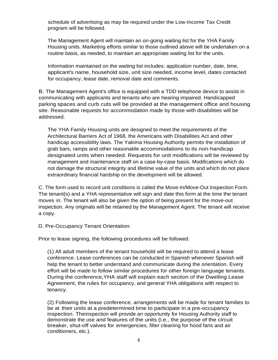schedule of advertising as may be required under the Low-Income Tax Credit program will be followed.

The Management Agent will maintain an on-going waiting list for the YHA Family Housing units. Marketing efforts similar to those outlined above will be undertaken on a routine basis, as needed, to maintain an appropriate waiting list for the units.

Information maintained on the waiting list includes: application number, date, time, applicant's name, household size, unit size needed, income level, dates contacted for occupancy, lease date, removal date and comments.

B. The Management Agent's office is equipped with a TDD telephone device to assist in communicating with applicants and tenants who are hearing impaired. Handicapped parking spaces and curb cuts will be provided at the management office and housing site. Reasonable requests for accommodation made by those with disabilities will be addressed.

The YHA Family Housing units are designed to meet the requirements of the Architectural Barriers Act of 1968, the Americans with Disabilities Act and other handicap accessibility laws. The Yakima Housing Authority permits the installation of grab bars, ramps and other reasonable accommodations to its non-handicap designated units when needed. Requests for unit modifications will be reviewed by management and maintenance staff on a case-by-case basis. Modifications which do not damage the structural integrity and lifetime value of the units and which do not place extraordinary financial hardship on the development will be allowed.

C. The form used to record unit conditions is called the Move-In/Move-Out Inspection Form. The tenant(s) and a YHA representative will sign and date this form at the time the tenant moves in. The tenant will also be given the option of being present for the move-out inspection. Any originals will be retained by the Management Agent. The tenant will receive a copy.

D. Pre-Occupancy Tenant Orientation:

Prior to lease signing, the following procedures will be followed.

(1) All adult members of the tenant household will be required to attend a lease conference. Lease conferences can be conducted in Spanish whenever Spanish will help the tenant to better understand and communicate during the orientation. Every effort will be made to follow similar procedures for other foreign language tenants. During the conference,YHA staff will explain each section of the Dwelling Lease Agreement, the rules for occupancy, and general YHA obligations with respect to tenancy.

(2) Following the lease conference, arrangements will be made for tenant families to be at their units at a predetermined time to participate in a pre-occupancy inspection. Theinspection will provide an opportunity for Housing Authority staff to demonstrate the use and features of the units (i.e., the purpose of the circuit breaker, shut-off valves for emergencies, filter cleaning for hood fans and air conditioners, etc.).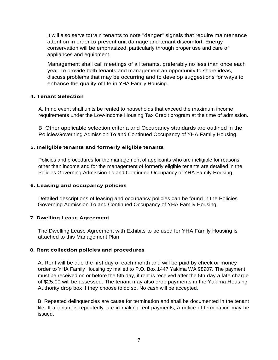It will also serve totrain tenants to note "danger" signals that require maintenance attention in order to prevent unit damage and tenant discomfort. Energy conservation will be emphasized, particularly through proper use and care of appliances and equipment.

Management shall call meetings of all tenants, preferably no less than once each year, to provide both tenants and management an opportunity to share ideas, discuss problems that may be occurring and to develop suggestions for ways to enhance the quality of life in YHA Family Housing.

#### **4. Tenant Selection**

A. In no event shall units be rented to households that exceed the maximum income requirements under the Low-Income Housing Tax Credit program at the time of admission.

B. Other applicable selection criteria and Occupancy standards are outlined in the PoliciesGoverning Admission To and Continued Occupancy of YHA Family Housing.

#### **5. Ineligible tenants and formerly eligible tenants**

Policies and procedures for the management of applicants who are ineligible for reasons other than income and for the management of formerly eligible tenants are detailed in the Policies Governing Admission To and Continued Occupancy of YHA Family Housing.

#### **6. Leasing and occupancy policies**

Detailed descriptions of leasing and occupancy policies can be found in the Policies Governing Admission To and Continued Occupancy of YHA Family Housing.

#### **7. Dwelling Lease Agreement**

The Dwelling Lease Agreement with Exhibits to be used for YHA Family Housing is attached to this Management Plan

#### **8. Rent collection policies and procedures**

A. Rent will be due the first day of each month and will be paid by check or money order to YHA Family Housing by mailed to P.O. Box 1447 Yakima WA 98907. The payment must be received on or before the 5th day, if rent is received after the 5th day a late charge of \$25.00 will be assessed. The tenant may also drop payments in the Yakima Housing Authority drop box if they choose to do so. No cash will be accepted.

B. Repeated delinquencies are cause for termination and shall be documented in the tenant file. If a tenant is repeatedly late in making rent payments, a notice of termination may be issued.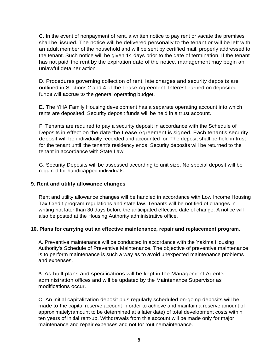C. In the event of nonpayment of rent, a written notice to pay rent or vacate the premises shall be issued. The notice will be delivered personally to the tenant or will be left with an adult member of the household and will be sent by certified mail, properly addressed to the tenant. Such notice will be given 14 days prior to the date of termination. If the tenant has not paid the rent by the expiration date of the notice, management may begin an unlawful detainer action.

D. Procedures governing collection of rent, late charges and security deposits are outlined in Sections 2 and 4 of the Lease Agreement. Interest earned on deposited funds will accrue to the general operating budget.

E. The YHA Family Housing development has a separate operating account into which rents are deposited. Security deposit funds will be held in a trust account.

F. Tenants are required to pay a security deposit in accordance with the Schedule of Deposits in effect on the date the Lease Agreement is signed. Each tenant's security deposit will be individually recorded and accounted for. The deposit shall be held in trust for the tenant until the tenant's residency ends. Security deposits will be returned to the tenant in accordance with State Law.

G. Security Deposits will be assessed according to unit size. No special deposit will be required for handicapped individuals.

#### **9. Rent and utility allowance changes**

Rent and utility allowance changes will be handled in accordance with Low Income Housing Tax Credit program regulations and state law. Tenants will be notified of changes in writing not later than 30 days before the anticipated effective date of change. A notice will also be posted at the Housing Authority administrative office.

#### **10. Plans for carrying out an effective maintenance, repair and replacement program**.

A. Preventive maintenance will be conducted in accordance with the Yakima Housing Authority's Schedule of Preventive Maintenance. The objective of preventive maintenance is to perform maintenance is such a way as to avoid unexpected maintenance problems and expenses.

B. As-built plans and specifications will be kept in the Management Agent's administration offices and will be updated by the Maintenance Supervisor as modifications occur.

C. An initial capitalization deposit plus regularly scheduled on-going deposits will be made to the capital reserve account in order to achieve and maintain a reserve amount of approximately(amount to be determined at a later date) of total development costs within ten years of initial rent-up. Withdrawals from this account will be made only for major maintenance and repair expenses and not for routinemaintenance.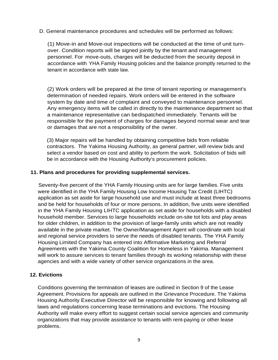D. General maintenance procedures and schedules will be performed as follows:

(1) Move-in and Move-out inspections will be conducted at the time of unit turnover. Condition reports will be signed jointly by the tenant and management personnel. For move-outs, charges will be deducted from the security deposit in accordance with YHA Family Housing policies and the balance promptly returned to the tenant in accordance with state law.

(2) Work orders will be prepared at the time of tenant reporting or management's determination of needed repairs. Work orders will be entered in the software system by date and time of complaint and conveyed to maintenance personnel. Any emergency items will be called in directly to the maintenance department so that a maintenance representative can bedispatched immediately. Tenants will be responsible for the payment of charges for damages beyond normal wear and tear or damages that are not a responsibility of the owner.

(3) Major repairs will be handled by obtaining competitive bids from reliable contractors. The Yakima Housing Authority, as general partner, will review bids and select a vendor based on cost and ability to perform the work. Solicitation of bids will be in accordance with the Housing Authority's procurement policies.

#### **11. Plans and procedures for providing supplemental services.**

Seventy-five percent of the YHA Family Housing units are for large families. Five units were identified in the YHA Family Housing Low Income Housing Tax Credit (LIHTC) application as set aside for large household use and must include at least three bedrooms and be held for households of four or more persons. In addition, five units were identified in the YHA Family Housing LIHTC application as set aside for households with a disabled household member. Services to large households include on-site tot lots and play areas for older children, in addition to the provision of large-family units which are not readily available in the private market. The Owner/Management Agent will coordinate with local and regional service providers to serve the needs of disabled tenants. The YHA Family Housing Limited Company has entered into Affirmative Marketing and Referral Agreements with the Yakima County Coalition for Homeless in Yakima. Management will work to assure services to tenant families through its working relationship with these agencies and with a wide variety of other service organizations in the area.

#### **12. Evictions**

Conditions governing the termination of leases are outlined in Section 9 of the Lease Agreement. Provisions for appeals are outlined in the Grievance Procedure. The Yakima Housing Authority Executive Director will be responsible for knowing and following all laws and regulations concerning lease terminations and evictions. The Housing Authority will make every effort to suggest certain social service agencies and community organizations that may provide assistance to tenants with rent-paying or other lease problems.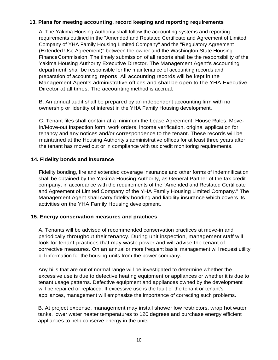#### **13. Plans for meeting accounting, record keeping and reporting requirements**

A. The Yakima Housing Authority shall follow the accounting systems and reporting requirements outlined in the "Amended and Restated Certificate and Agreement of Limited Company of YHA Family Housing Limited Company" and the "Regulatory Agreement (Extended Use Agreement)" between the owner and the Washington State Housing FinanceCommission. The timely submission of all reports shall be the responsibility of the Yakima Housing Authority Executive Director. The Management Agent's accounting department shall be responsible for the maintenance of accounting records and preparation of accounting reports. All accounting records will be kept in the Management Agent's administrative offices and shall be open to the YHA Executive Director at all times. The accounting method is accrual.

B. An annual audit shall be prepared by an independent accounting firm with no ownership or identity of interest in the YHA Family Housing development.

C. Tenant files shall contain at a minimum the Lease Agreement, House Rules, Movein/Move-out Inspection form, work orders, income verification, original application for tenancy and any notices and/or correspondence to the tenant. These records will be maintained at the Housing Authority's administrative offices for at least three years after the tenant has moved out or in compliance with tax credit monitoring requirements.

#### **14. Fidelity bonds and insurance**

Fidelity bonding, fire and extended coverage insurance and other forms of indemnification shall be obtained by the Yakima Housing Authority, as General Partner of the tax credit company, in accordance with the requirements of the "Amended and Restated Certificate and Agreement of Limited Company of the YHA Family Housing Limited Company." The Management Agent shall carry fidelity bonding and liability insurance which covers its activities on the YHA Family Housing development.

#### **15. Energy conservation measures and practices**

A. Tenants will be advised of recommended conservation practices at move-in and periodically throughout their tenancy. During unit inspection, management staff will look for tenant practices that may waste power and will advise the tenant of corrective measures. On an annual or more frequent basis, management will request utility bill information for the housing units from the power company.

Any bills that are out of normal range will be investigated to determine whether the excessive use is due to defective heating equipment or appliances or whether it is due to tenant usage patterns. Defective equipment and appliances owned by the development will be repaired or replaced. If excessive use is the fault of the tenant or tenant's appliances, management will emphasize the importance of correcting such problems.

B. At project expense, management may install shower low restrictors, wrap hot water tanks, lower water heater temperatures to 120 degrees and purchase energy efficient appliances to help conserve energy in the units.